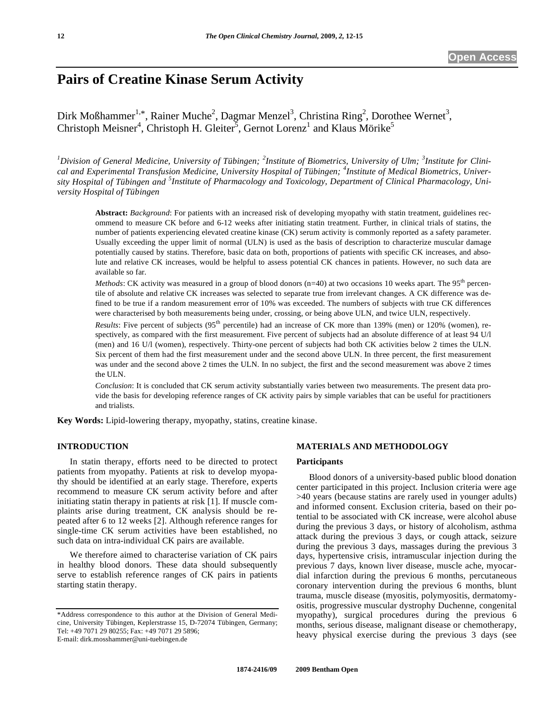# **Pairs of Creatine Kinase Serum Activity**

Dirk Moßhammer<sup>1,\*</sup>, Rainer Muche<sup>2</sup>, Dagmar Menzel<sup>3</sup>, Christina Ring<sup>2</sup>, Dorothee Wernet<sup>3</sup>, Christoph Meisner<sup>4</sup>, Christoph H. Gleiter<sup>5</sup>, Gernot Lorenz<sup>1</sup> and Klaus Mörike<sup>5</sup>

<sup>1</sup>Division of General Medicine, University of Tübingen; <sup>2</sup>Institute of Biometrics, University of Ulm; <sup>3</sup>Institute for Clini*cal and Experimental Transfusion Medicine, University Hospital of Tübingen; <sup>4</sup> Institute of Medical Biometrics, Univer*sity Hospital of Tübingen and <sup>5</sup>Institute of Pharmacology and Toxicology, Department of Clinical Pharmacology, Uni*versity Hospital of Tübingen* 

**Abstract:** *Background*: For patients with an increased risk of developing myopathy with statin treatment, guidelines recommend to measure CK before and 6-12 weeks after initiating statin treatment. Further, in clinical trials of statins, the number of patients experiencing elevated creatine kinase (CK) serum activity is commonly reported as a safety parameter. Usually exceeding the upper limit of normal (ULN) is used as the basis of description to characterize muscular damage potentially caused by statins. Therefore, basic data on both, proportions of patients with specific CK increases, and absolute and relative CK increases, would be helpful to assess potential CK chances in patients. However, no such data are available so far.

*Methods*: CK activity was measured in a group of blood donors ( $n=40$ ) at two occasions 10 weeks apart. The 95<sup>th</sup> percentile of absolute and relative CK increases was selected to separate true from irrelevant changes. A CK difference was defined to be true if a random measurement error of 10% was exceeded. The numbers of subjects with true CK differences were characterised by both measurements being under, crossing, or being above ULN, and twice ULN, respectively.

*Results*: Five percent of subjects (95<sup>th</sup> percentile) had an increase of CK more than 139% (men) or 120% (women), respectively, as compared with the first measurement. Five percent of subjects had an absolute difference of at least 94 U/l (men) and 16 U/l (women), respectively. Thirty-one percent of subjects had both CK activities below 2 times the ULN. Six percent of them had the first measurement under and the second above ULN. In three percent, the first measurement was under and the second above 2 times the ULN. In no subject, the first and the second measurement was above 2 times the ULN.

*Conclusion*: It is concluded that CK serum activity substantially varies between two measurements. The present data provide the basis for developing reference ranges of CK activity pairs by simple variables that can be useful for practitioners and trialists.

**Key Words:** Lipid-lowering therapy, myopathy, statins, creatine kinase.

# **INTRODUCTION**

 In statin therapy, efforts need to be directed to protect patients from myopathy. Patients at risk to develop myopathy should be identified at an early stage. Therefore, experts recommend to measure CK serum activity before and after initiating statin therapy in patients at risk [1]. If muscle complaints arise during treatment, CK analysis should be repeated after 6 to 12 weeks [2]. Although reference ranges for single-time CK serum activities have been established, no such data on intra-individual CK pairs are available.

 We therefore aimed to characterise variation of CK pairs in healthy blood donors. These data should subsequently serve to establish reference ranges of CK pairs in patients starting statin therapy.

E-mail: dirk.mosshammer@uni-tuebingen.de

#### **MATERIALS AND METHODOLOGY**

#### **Participants**

 Blood donors of a university-based public blood donation center participated in this project. Inclusion criteria were age >40 years (because statins are rarely used in younger adults) and informed consent. Exclusion criteria, based on their potential to be associated with CK increase, were alcohol abuse during the previous 3 days, or history of alcoholism, asthma attack during the previous 3 days, or cough attack, seizure during the previous 3 days, massages during the previous 3 days, hypertensive crisis, intramuscular injection during the previous 7 days, known liver disease, muscle ache, myocardial infarction during the previous 6 months, percutaneous coronary intervention during the previous 6 months, blunt trauma, muscle disease (myositis, polymyositis, dermatomyositis, progressive muscular dystrophy Duchenne, congenital myopathy), surgical procedures during the previous 6 months, serious disease, malignant disease or chemotherapy, heavy physical exercise during the previous 3 days (see

<sup>\*</sup>Address correspondence to this author at the Division of General Medicine, University Tübingen, Keplerstrasse 15, D-72074 Tübingen, Germany; Tel: +49 7071 29 80255; Fax: +49 7071 29 5896;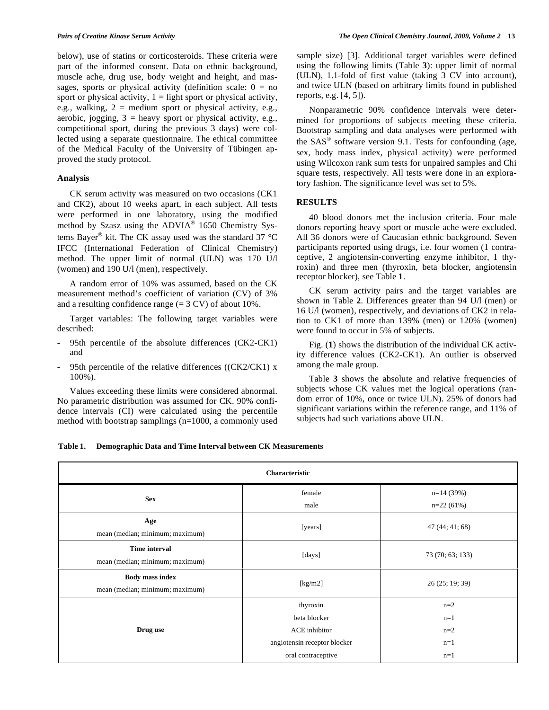below), use of statins or corticosteroids. These criteria were part of the informed consent. Data on ethnic background, muscle ache, drug use, body weight and height, and massages, sports or physical activity (definition scale:  $0 = no$ sport or physical activity,  $1 =$  light sport or physical activity, e.g., walking,  $2 =$  medium sport or physical activity, e.g., aerobic, jogging,  $3 =$  heavy sport or physical activity, e.g., competitional sport, during the previous 3 days) were collected using a separate questionnaire. The ethical committee of the Medical Faculty of the University of Tübingen approved the study protocol.

## **Analysis**

 CK serum activity was measured on two occasions (CK1 and CK2), about 10 weeks apart, in each subject. All tests were performed in one laboratory, using the modified method by Szasz using the  $ADVIA^{\circledast}$  1650 Chemistry Systems Bayer® kit. The CK assay used was the standard 37 °C IFCC (International Federation of Clinical Chemistry) method. The upper limit of normal (ULN) was 170 U/l (women) and 190 U/l (men), respectively.

 A random error of 10% was assumed, based on the CK measurement method's coefficient of variation (CV) of 3% and a resulting confidence range  $(= 3 \text{ CV})$  of about 10%.

 Target variables: The following target variables were described:

- 95th percentile of the absolute differences (CK2-CK1) and
- 95th percentile of the relative differences ( $(CK2/CK1)$  x 100%).

 Values exceeding these limits were considered abnormal. No parametric distribution was assumed for CK. 90% confidence intervals (CI) were calculated using the percentile method with bootstrap samplings (n=1000, a commonly used sample size) [3]. Additional target variables were defined using the following limits (Table **3**): upper limit of normal (ULN), 1.1-fold of first value (taking 3 CV into account), and twice ULN (based on arbitrary limits found in published reports, e.g. [4, 5]).

 Nonparametric 90% confidence intervals were determined for proportions of subjects meeting these criteria. Bootstrap sampling and data analyses were performed with the  $SAS^{\circledcirc}$  software version 9.1. Tests for confounding (age, sex, body mass index, physical activity) were performed using Wilcoxon rank sum tests for unpaired samples and Chi square tests, respectively. All tests were done in an exploratory fashion. The significance level was set to 5%.

# **RESULTS**

 40 blood donors met the inclusion criteria. Four male donors reporting heavy sport or muscle ache were excluded. All 36 donors were of Caucasian ethnic background. Seven participants reported using drugs, i.e. four women (1 contraceptive, 2 angiotensin-converting enzyme inhibitor, 1 thyroxin) and three men (thyroxin, beta blocker, angiotensin receptor blocker), see Table **1**.

 CK serum activity pairs and the target variables are shown in Table **2**. Differences greater than 94 U/l (men) or 16 U/l (women), respectively, and deviations of CK2 in relation to CK1 of more than 139% (men) or 120% (women) were found to occur in 5% of subjects.

 Fig. (**1**) shows the distribution of the individual CK activity difference values (CK2-CK1). An outlier is observed among the male group.

 Table **3** shows the absolute and relative frequencies of subjects whose CK values met the logical operations (random error of 10%, once or twice ULN). 25% of donors had significant variations within the reference range, and 11% of subjects had such variations above ULN.

**Table 1. Demographic Data and Time Interval between CK Measurements**

| Characteristic                                            |                              |                            |
|-----------------------------------------------------------|------------------------------|----------------------------|
| <b>Sex</b>                                                | female<br>male               | $n=14(39%)$<br>$n=22(61%)$ |
| Age<br>mean (median; minimum; maximum)                    | [years]                      | 47(44; 41; 68)             |
| <b>Time interval</b><br>mean (median; minimum; maximum)   | [days]                       | 73 (70; 63; 133)           |
| <b>Body mass index</b><br>mean (median; minimum; maximum) | [kg/m2]                      | 26 (25; 19; 39)            |
| Drug use                                                  | thyroxin                     | $n=2$                      |
|                                                           | beta blocker                 | $n=1$                      |
|                                                           | ACE inhibitor                | $n=2$                      |
|                                                           | angiotensin receptor blocker | $n=1$                      |
|                                                           | oral contraceptive           | $n=1$                      |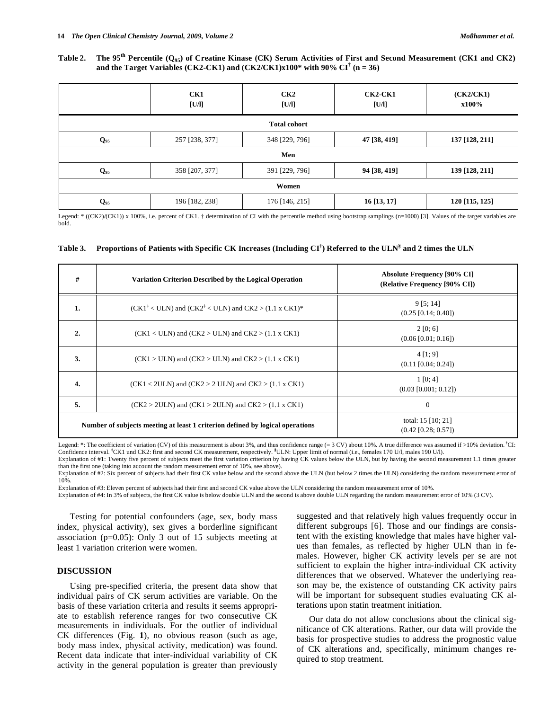# **Table 2. The 95th Percentile (Q95) of Creatine Kinase (CK) Serum Activities of First and Second Measurement (CK1 and CK2) and the Target Variables (CK2-CK1) and (CK2/CK1)x100\* with 90% CI† (n = 36)**

|                     | CK1<br>[U/l]   | CK2<br>[U/l]   | $CK2$ -CK1<br>[U/l] | (CK2/CK1)<br>x100% |
|---------------------|----------------|----------------|---------------------|--------------------|
| <b>Total cohort</b> |                |                |                     |                    |
| $Q_{95}$            | 257 [238, 377] | 348 [229, 796] | 47 [38, 419]        | 137 [128, 211]     |
| Men                 |                |                |                     |                    |
| $Q_{95}$            | 358 [207, 377] | 391 [229, 796] | 94 [38, 419]        | 139 [128, 211]     |
| Women               |                |                |                     |                    |
| $Q_{95}$            | 196 [182, 238] | 176 [146, 215] | 16 [13, 17]         | 120 [115, 125]     |

Legend: \* ((CK2)/(CK1)) x 100%, i.e. percent of CK1. † determination of CI with the percentile method using bootstrap samplings (n=1000) [3]. Values of the target variables are bold.

|  |  | Table 3. Proportions of Patients with Specific CK Increases (Including CI <sup>†</sup> ) Referred to the ULN <sup>§</sup> and 2 times the ULN |
|--|--|-----------------------------------------------------------------------------------------------------------------------------------------------|
|  |  |                                                                                                                                               |

| #                                                                             | Variation Criterion Described by the Logical Operation                  | <b>Absolute Frequency [90% CI]</b><br>(Relative Frequency [90% CI]) |
|-------------------------------------------------------------------------------|-------------------------------------------------------------------------|---------------------------------------------------------------------|
| 1.                                                                            | $(CK1\ddag < ULN)$ and $(CK2\ddag < ULN)$ and $CK2 > (1.1 \times CK1)*$ | 9[5; 14]<br>$(0.25 \, [0.14; 0.40])$                                |
| 2.                                                                            | $(CK1 < ULN)$ and $(CK2 > ULN)$ and $CK2 > (1.1 \times CK1)$            | 2 [0; 6]<br>$(0.06\ [0.01; 0.16])$                                  |
| 3.                                                                            | $(CK1 > ULN)$ and $(CK2 > ULN)$ and $CK2 > (1.1 \times CK1)$            | $4$ [1; 9]<br>$(0.11 \, [0.04; 0.24])$                              |
| 4.                                                                            | $(CK1 < 2ULN)$ and $(CK2 > 2 ULN)$ and $CK2 > (1.1 \times CK1)$         | 1 [0; 4]<br>$(0.03 \, [0.001; 0.12])$                               |
| 5.                                                                            | $(CK2 > 2ULN)$ and $(CK1 > 2ULN)$ and $CK2 > (1.1 \times CK1)$          | $\mathbf{0}$                                                        |
| Number of subjects meeting at least 1 criterion defined by logical operations |                                                                         | total: $15$ [10; 21]<br>$(0.42 \, [0.28; 0.57])$                    |

Legend: \*: The coefficient of variation (CV) of this measurement is about 3%, and thus confidence range (= 3 CV) about 10%. A true difference was assumed if >10% deviation. <sup>†</sup>CI: Confidence interval. <sup>‡</sup>CK1 und CK2: first and second CK measurement, respectively. <sup>§</sup>ULN: Upper limit of normal (i.e., females 170 U/l, males 190 U/l).

Explanation of #1: Twenty five percent of subjects meet the first variation criterion by having CK values below the ULN, but by having the second measurement 1.1 times greater than the first one (taking into account the random measurement error of 10%, see above).

Explanation of #2: Six percent of subjects had their first CK value below and the second above the ULN (but below 2 times the ULN) considering the random measurement error of 10%.

Explanation of #3: Eleven percent of subjects had their first and second CK value above the ULN considering the random measurement error of 10%.

Explanation of #4: In 3% of subjects, the first CK value is below double ULN and the second is above double ULN regarding the random measurement error of 10% (3 CV).

 Testing for potential confounders (age, sex, body mass index, physical activity), sex gives a borderline significant association (p=0.05): Only 3 out of 15 subjects meeting at least 1 variation criterion were women.

### **DISCUSSION**

 Using pre-specified criteria, the present data show that individual pairs of CK serum activities are variable. On the basis of these variation criteria and results it seems appropriate to establish reference ranges for two consecutive CK measurements in individuals. For the outlier of individual CK differences (Fig. **1**), no obvious reason (such as age, body mass index, physical activity, medication) was found. Recent data indicate that inter-individual variability of CK activity in the general population is greater than previously suggested and that relatively high values frequently occur in different subgroups [6]. Those and our findings are consistent with the existing knowledge that males have higher values than females, as reflected by higher ULN than in females. However, higher CK activity levels per se are not sufficient to explain the higher intra-individual CK activity differences that we observed. Whatever the underlying reason may be, the existence of outstanding CK activity pairs will be important for subsequent studies evaluating CK alterations upon statin treatment initiation.

 Our data do not allow conclusions about the clinical significance of CK alterations. Rather, our data will provide the basis for prospective studies to address the prognostic value of CK alterations and, specifically, minimum changes required to stop treatment.